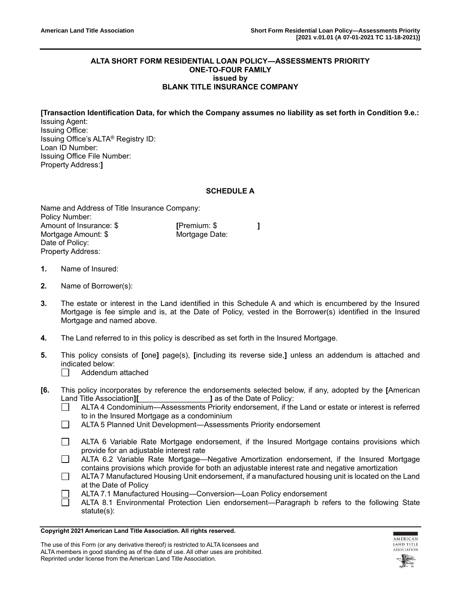#### **ALTA SHORT FORM RESIDENTIAL LOAN POLICY—ASSESSMENTS PRIORITY ONE-TO-FOUR FAMILY issued by BLANK TITLE INSURANCE COMPANY**

**[Transaction Identification Data, for which the Company assumes no liability as set forth in Condition 9.e.:** Issuing Agent:

Issuing Office: Issuing Office's ALTA® Registry ID: Loan ID Number: Issuing Office File Number: Property Address:**]**

## **SCHEDULE A**

Name and Address of Title Insurance Company: Policy Number: Amount of Insurance: \$ **[**Premium: \$ **]** Mortgage Amount: \$ Mortgage Date: Date of Policy: Property Address:

- **1.** Name of Insured:
- **2.** Name of Borrower(s):
- **3.** The estate or interest in the Land identified in this Schedule A and which is encumbered by the Insured Mortgage is fee simple and is, at the Date of Policy, vested in the Borrower(s) identified in the Insured Mortgage and named above.
- **4.** The Land referred to in this policy is described as set forth in the Insured Mortgage.
- **5.** This policy consists of **[**one**]** page(s), **[**including its reverse side,**]** unless an addendum is attached and indicated below:
	- Addendum attached  $\Box$
- **[6.** This policy incorporates by reference the endorsements selected below, if any, adopted by the **[**American Land Title Association**][**\_\_\_\_\_\_\_\_\_\_\_\_\_\_\_\_\_**]** as of the Date of Policy:
	- ALTA 4 Condominium—Assessments Priority endorsement, if the Land or estate or interest is referred  $\Box$ to in the Insured Mortgage as a condominium
	- $\Box$ ALTA 5 Planned Unit Development—Assessments Priority endorsement
	- $\Box$ ALTA 6 Variable Rate Mortgage endorsement, if the Insured Mortgage contains provisions which provide for an adjustable interest rate
	- $\Box$ ALTA 6.2 Variable Rate Mortgage—Negative Amortization endorsement, if the Insured Mortgage contains provisions which provide for both an adjustable interest rate and negative amortization
	- П ALTA 7 Manufactured Housing Unit endorsement, if a manufactured housing unit is located on the Land at the Date of Policy
	- ALTA 7.1 Manufactured Housing—Conversion—Loan Policy endorsement
	- ALTA 8.1 Environmental Protection Lien endorsement—Paragraph b refers to the following State statute(s):

#### **Copyright 2021 American Land Title Association. All rights reserved.**



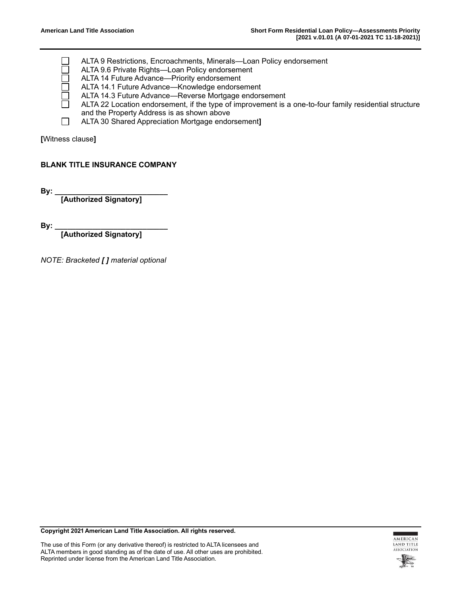ALTA 9 Restrictions, Encroachments, Minerals—Loan Policy endorsement

- ALTA 9.6 Private Rights—Loan Policy endorsement
- ALTA 14 Future Advance—Priority endorsement
- ALTA 14.1 Future Advance—Knowledge endorsement
- ALTA 14.3 Future Advance—Reverse Mortgage endorsement
- ALTA 22 Location endorsement, if the type of improvement is a one-to-four family residential structure and the Property Address is as shown above
- $\Box$ ALTA 30 Shared Appreciation Mortgage endorsement**]**

**[**Witness clause**]**

## **BLANK TITLE INSURANCE COMPANY**

**By: \_\_\_\_\_\_\_\_\_\_\_\_\_\_\_\_\_\_\_\_\_\_\_\_\_\_\_** 

**[Authorized Signatory]**

**By: \_\_\_\_\_\_\_\_\_\_\_\_\_\_\_\_\_\_\_\_\_\_\_\_\_\_\_**

**[Authorized Signatory]**

*NOTE: Bracketed [ ] material optional*

**Copyright 2021 American Land Title Association. All rights reserved.**





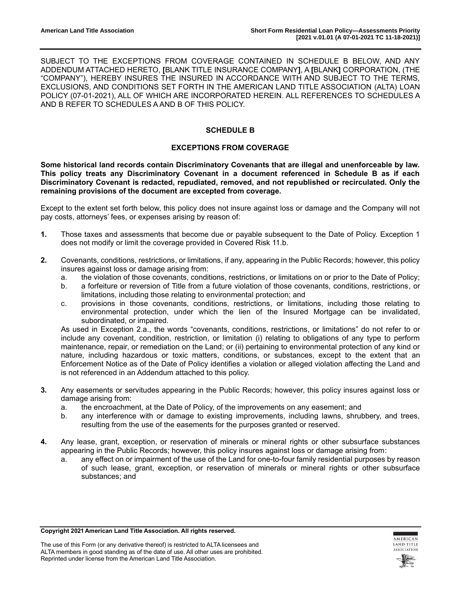SUBJECT TO THE EXCEPTIONS FROM COVERAGE CONTAINED IN SCHEDULE B BELOW, AND ANY ADDENDUM ATTACHED HERETO, **[**BLANK TITLE INSURANCE COMPANY**]**, A **[**BLANK**]** CORPORATION, (THE "COMPANY"), HEREBY INSURES THE INSURED IN ACCORDANCE WITH AND SUBJECT TO THE TERMS, EXCLUSIONS, AND CONDITIONS SET FORTH IN THE AMERICAN LAND TITLE ASSOCIATION (ALTA) LOAN POLICY (07-01-2021), ALL OF WHICH ARE INCORPORATED HEREIN. ALL REFERENCES TO SCHEDULES A AND B REFER TO SCHEDULES A AND B OF THIS POLICY.

# **SCHEDULE B**

## **EXCEPTIONS FROM COVERAGE**

**Some historical land records contain Discriminatory Covenants that are illegal and unenforceable by law. This policy treats any Discriminatory Covenant in a document referenced in Schedule B as if each Discriminatory Covenant is redacted, repudiated, removed, and not republished or recirculated. Only the remaining provisions of the document are excepted from coverage.**

Except to the extent set forth below, this policy does not insure against loss or damage and the Company will not pay costs, attorneys' fees, or expenses arising by reason of:

- **1.** Those taxes and assessments that become due or payable subsequent to the Date of Policy. Exception 1 does not modify or limit the coverage provided in Covered Risk 11.b.
- **2.** Covenants, conditions, restrictions, or limitations, if any, appearing in the Public Records; however, this policy insures against loss or damage arising from:
	- a. the violation of those covenants, conditions, restrictions, or limitations on or prior to the Date of Policy;
	- b. a forfeiture or reversion of Title from a future violation of those covenants, conditions, restrictions, or limitations, including those relating to environmental protection; and
	- c. provisions in those covenants, conditions, restrictions, or limitations, including those relating to environmental protection, under which the lien of the Insured Mortgage can be invalidated, subordinated, or impaired.

As used in Exception 2.a., the words "covenants, conditions, restrictions, or limitations" do not refer to or include any covenant, condition, restriction, or limitation (i) relating to obligations of any type to perform maintenance, repair, or remediation on the Land; or (ii) pertaining to environmental protection of any kind or nature, including hazardous or toxic matters, conditions, or substances, except to the extent that an Enforcement Notice as of the Date of Policy identifies a violation or alleged violation affecting the Land and is not referenced in an Addendum attached to this policy.

- **3.** Any easements or servitudes appearing in the Public Records; however, this policy insures against loss or damage arising from:
	- a. the encroachment, at the Date of Policy, of the improvements on any easement; and
	- b. any interference with or damage to existing improvements, including lawns, shrubbery, and trees, resulting from the use of the easements for the purposes granted or reserved.
- **4.** Any lease, grant, exception, or reservation of minerals or mineral rights or other subsurface substances appearing in the Public Records; however, this policy insures against loss or damage arising from:
	- a. any effect on or impairment of the use of the Land for one-to-four family residential purposes by reason of such lease, grant, exception, or reservation of minerals or mineral rights or other subsurface substances; and

#### **Copyright 2021 American Land Title Association. All rights reserved.**



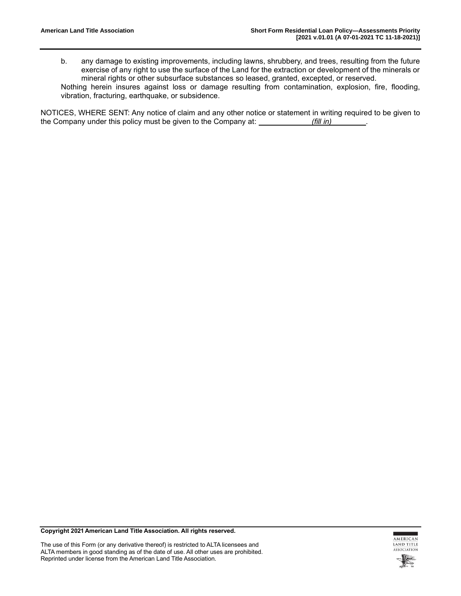b. any damage to existing improvements, including lawns, shrubbery, and trees, resulting from the future exercise of any right to use the surface of the Land for the extraction or development of the minerals or mineral rights or other subsurface substances so leased, granted, excepted, or reserved.

Nothing herein insures against loss or damage resulting from contamination, explosion, fire, flooding, vibration, fracturing, earthquake, or subsidence.

NOTICES, WHERE SENT: Any notice of claim and any other notice or statement in writing required to be given to the Company under this policy must be given to the Company at: *(fill in)* .

**Copyright 2021 American Land Title Association. All rights reserved.**